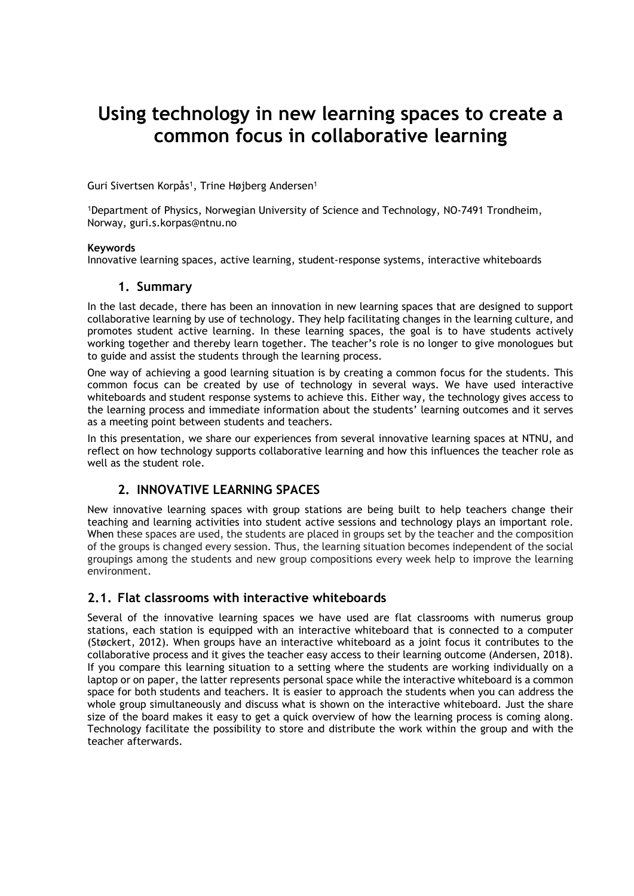# Using technology in new learning spaces to create a common focus in collaborative learning

Guri Sivertsen Korpås<sup>1</sup>, Trine Højberg Andersen<sup>1</sup>

<sup>1</sup>Department of Physics, Norwegian University of Science and Technology, NO-7491 Trondheim, Norway, guri.s.korpas@ntnu.no

#### Keywords

Innovative learning spaces, active learning, student-response systems, interactive whiteboards

#### 1. Summary

In the last decade, there has been an innovation in new learning spaces that are designed to support collaborative learning by use of technology. They help facilitating changes in the learning culture, and promotes student active learning. In these learning spaces, the goal is to have students actively working together and thereby learn together. The teacher's role is no longer to give monologues but to guide and assist the students through the learning process.

One way of achieving a good learning situation is by creating a common focus for the students. This common focus can be created by use of technology in several ways. We have used interactive whiteboards and student response systems to achieve this. Either way, the technology gives access to the learning process and immediate information about the students' learning outcomes and it serves as a meeting point between students and teachers.

In this presentation, we share our experiences from several innovative learning spaces at NTNU, and reflect on how technology supports collaborative learning and how this influences the teacher role as well as the student role.

### 2. INNOVATIVE LEARNING SPACES

New innovative learning spaces with group stations are being built to help teachers change their teaching and learning activities into student active sessions and technology plays an important role. When these spaces are used, the students are placed in groups set by the teacher and the composition of the groups is changed every session. Thus, the learning situation becomes independent of the social groupings among the students and new group compositions every week help to improve the learning environment.

### 2.1. Flat classrooms with interactive whiteboards

Several of the innovative learning spaces we have used are flat classrooms with numerus group stations, each station is equipped with an interactive whiteboard that is connected to a computer (Støckert, 2012). When groups have an interactive whiteboard as a joint focus it contributes to the collaborative process and it gives the teacher easy access to their learning outcome (Andersen, 2018). If you compare this learning situation to a setting where the students are working individually on a laptop or on paper, the latter represents personal space while the interactive whiteboard is a common space for both students and teachers. It is easier to approach the students when you can address the whole group simultaneously and discuss what is shown on the interactive whiteboard. Just the share size of the board makes it easy to get a quick overview of how the learning process is coming along. Technology facilitate the possibility to store and distribute the work within the group and with the teacher afterwards.